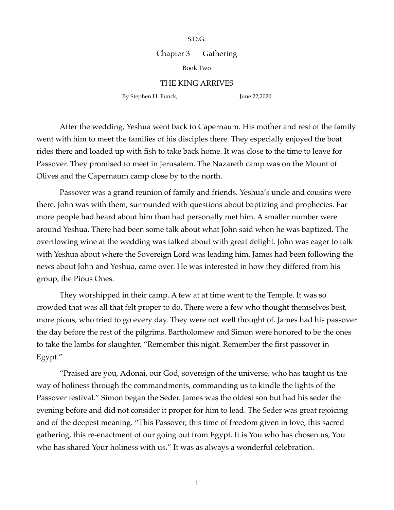S.D.G.

Chapter 3 Gathering

## Book Two

## THE KING ARRIVES

By Stephen H. Funck, June 22,2020

After the wedding, Yeshua went back to Capernaum. His mother and rest of the family went with him to meet the families of his disciples there. They especially enjoyed the boat rides there and loaded up with fish to take back home. It was close to the time to leave for Passover. They promised to meet in Jerusalem. The Nazareth camp was on the Mount of Olives and the Capernaum camp close by to the north.

Passover was a grand reunion of family and friends. Yeshua's uncle and cousins were there. John was with them, surrounded with questions about baptizing and prophecies. Far more people had heard about him than had personally met him. A smaller number were around Yeshua. There had been some talk about what John said when he was baptized. The overflowing wine at the wedding was talked about with great delight. John was eager to talk with Yeshua about where the Sovereign Lord was leading him. James had been following the news about John and Yeshua, came over. He was interested in how they differed from his group, the Pious Ones.

They worshipped in their camp. A few at at time went to the Temple. It was so crowded that was all that felt proper to do. There were a few who thought themselves best, more pious, who tried to go every day. They were not well thought of. James had his passover the day before the rest of the pilgrims. Bartholomew and Simon were honored to be the ones to take the lambs for slaughter. "Remember this night. Remember the first passover in Egypt."

"Praised are you, Adonai, our God, sovereign of the universe, who has taught us the way of holiness through the commandments, commanding us to kindle the lights of the Passover festival." Simon began the Seder. James was the oldest son but had his seder the evening before and did not consider it proper for him to lead. The Seder was great rejoicing and of the deepest meaning. "This Passover, this time of freedom given in love, this sacred gathering, this re-enactment of our going out from Egypt. It is You who has chosen us, You who has shared Your holiness with us." It was as always a wonderful celebration.

1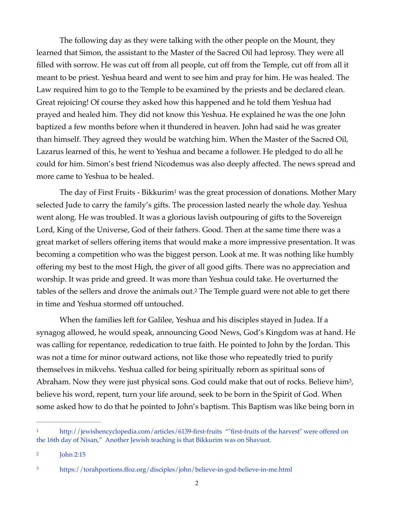The following day as they were talking with the other people on the Mount, they learned that Simon, the assistant to the Master of the Sacred Oil had leprosy. They were all filled with sorrow. He was cut off from all people, cut off from the Temple, cut off from all it meant to be priest. Yeshua heard and went to see him and pray for him. He was healed. The Law required him to go to the Temple to be examined by the priests and be declared clean. Great rejoicing! Of course they asked how this happened and he told them Yeshua had prayed and healed him. They did not know this Yeshua. He explained he was the one John baptized a few months before when it thundered in heaven. John had said he was greater than himself. They agreed they would be watching him. When the Master of the Sacred Oil, Lazarus learned of this, he went to Yeshua and became a follower. He pledged to do all he could for him. Simon's best friend Nicodemus was also deeply affected. The news spread and more came to Yeshua to be healed.

<span id="page-1-3"></span>Theday of First Fruits - Bikkurim<sup>[1](#page-1-0)</sup> was the great procession of donations. Mother Mary selected Jude to carry the family's gifts. The procession lasted nearly the whole day. Yeshua went along. He was troubled. It was a glorious lavish outpouring of gifts to the Sovereign Lord, King of the Universe, God of their fathers. Good. Then at the same time there was a great market of sellers offering items that would make a more impressive presentation. It was becoming a competition who was the biggest person. Look at me. It was nothing like humbly offering my best to the most High, the giver of all good gifts. There was no appreciation and worship. It was pride and greed. It was more than Yeshua could take. He overturned the tables of the sellers and drove the animals out[.](#page-1-1)<sup>[2](#page-1-1)</sup> The Temple guard were not able to get there in time and Yeshua stormed off untouched.

<span id="page-1-4"></span>When the families left for Galilee, Yeshua and his disciples stayed in Judea. If a synagog allowed, he would speak, announcing Good News, God's Kingdom was at hand. He was calling for repentance, rededication to true faith. He pointed to John by the Jordan. This was not a time for minor outward actions, not like those who repeatedly tried to purify themselves in mikvehs. Yeshua called for being spiritually reborn as spiritual sons of Abraham. Now they were just physical sons. God could make that out of rocks. Believe him<sup>3</sup>[,](#page-1-2) believe his word, repent, turn your life around, seek to be born in the Spirit of God. When some asked how to do that he pointed to John's baptism. This Baptism was like being born in

<span id="page-1-5"></span><span id="page-1-0"></span><http://jewishencyclopedia.com/articles/6139-first-fruits>""first-fruits of the harvest" were offered on the 16th day of Nisan," Another Jewish teaching is that Bikkurim was on Shavuot.

<span id="page-1-1"></span>John 2:15 [2](#page-1-4)

<span id="page-1-2"></span><https://torahportions.ffoz.org/disciples/john/believe-in-god-believe-in-me.html> [3](#page-1-5)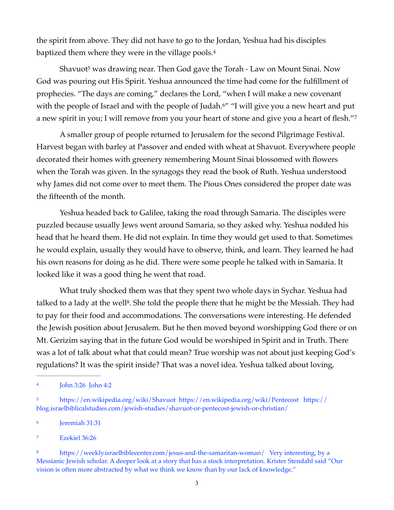<span id="page-2-5"></span>the spirit from above. They did not have to go to the Jordan, Yeshua had his disciples baptized them where they were in the village pools[.](#page-2-0) [4](#page-2-0)

<span id="page-2-6"></span>Shavuo[t](#page-2-1)<sup>[5](#page-2-1)</sup> was drawing near. Then God gave the Torah - Law on Mount Sinai. Now God was pouring out His Spirit. Yeshua announced the time had come for the fulfillment of prophecies. "The days are coming," declares the Lord, "when I will make a new covenant with the people of Israel and with the people of Judah.<sup>6["](#page-2-2)</sup> "I will give you a new heart and put a new spirit in you; I will remove from you your heart of stone and give you a heart of flesh."[7](#page-2-3)

<span id="page-2-8"></span><span id="page-2-7"></span>A smaller group of people returned to Jerusalem for the second Pilgrimage Festival. Harvest began with barley at Passover and ended with wheat at Shavuot. Everywhere people decorated their homes with greenery remembering Mount Sinai blossomed with flowers when the Torah was given. In the synagogs they read the book of Ruth. Yeshua understood why James did not come over to meet them. The Pious Ones considered the proper date was the fifteenth of the month.

Yeshua headed back to Galilee, taking the road through Samaria. The disciples were puzzled because usually Jews went around Samaria, so they asked why. Yeshua nodded his head that he heard them. He did not explain. In time they would get used to that. Sometimes he would explain, usually they would have to observe, think, and learn. They learned he had his own reasons for doing as he did. There were some people he talked with in Samaria. It looked like it was a good thing he went that road.

<span id="page-2-9"></span>What truly shocked them was that they spent two whole days in Sychar. Yeshua had talked to a lady at the well<sup>[8](#page-2-4)</sup>. She told the people there that he might be the Messiah. They had to pay for their food and accommodations. The conversations were interesting. He defended the Jewish position about Jerusalem. But he then moved beyond worshipping God there or on Mt. Gerizim saying that in the future God would be worshiped in Spirit and in Truth. There was a lot of talk about what that could mean? True worship was not about just keeping God's regulations? It was the spirit inside? That was a novel idea. Yeshua talked about loving,

<span id="page-2-2"></span>Jeremiah 31:31 [6](#page-2-7)

<span id="page-2-3"></span>Ezekiel 36:26 [7](#page-2-8)

<span id="page-2-4"></span> <https://weekly.israelbiblecenter.com/jesus-and-the-samaritan-woman/>Very interesting, by a [8](#page-2-9) Messianic Jewish scholar. A deeper look at a story that has a stock interpretation. Krister Stendahl said "Our vision is often more abstracted by what we think we know than by our lack of knowledge."

<span id="page-2-0"></span>John 3:26 John 4:2 [4](#page-2-5)

<span id="page-2-1"></span>[<sup>5</sup>](#page-2-6) <https://en.wikipedia.org/wiki/Shavuot> <https://en.wikipedia.org/wiki/Pentecost> [https://](https://blog.israelbiblicalstudies.com/jewish-studies/shavuot-or-pentecost-jewish-or-christian/) [blog.israelbiblicalstudies.com/jewish-studies/shavuot-or-pentecost-jewish-or-christian/](https://blog.israelbiblicalstudies.com/jewish-studies/shavuot-or-pentecost-jewish-or-christian/)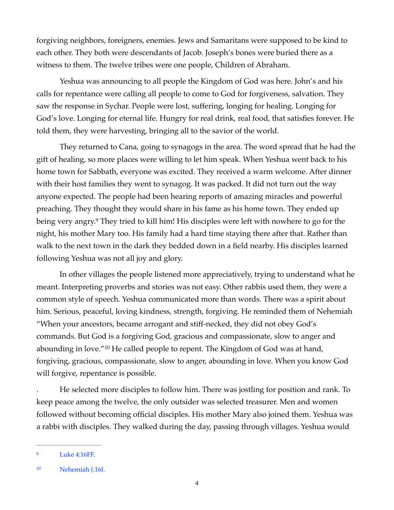forgiving neighbors, foreigners, enemies. Jews and Samaritans were supposed to be kind to each other. They both were descendants of Jacob. Joseph's bones were buried there as a witness to them. The twelve tribes were one people, Children of Abraham.

Yeshua was announcing to all people the Kingdom of God was here. John's and his calls for repentance were calling all people to come to God for forgiveness, salvation. They saw the response in Sychar. People were lost, suffering, longing for healing. Longing for God's love. Longing for eternal life. Hungry for real drink, real food, that satisfies forever. He told them, they were harvesting, bringing all to the savior of the world.

They returned to Cana, going to synagogs in the area. The word spread that he had the gift of healing, so more places were willing to let him speak. When Yeshua went back to his home town for Sabbath, everyone was excited. They received a warm welcome. After dinner with their host families they went to synagog. It was packed. It did not turn out the way anyone expected. The people had been hearing reports of amazing miracles and powerful preaching. They thought they would share in his fame as his home town. They ended up beingvery angry.<sup>[9](#page-3-0)</sup> They tried to kill him! His disciples were left with nowhere to go for the night, his mother Mary too. His family had a hard time staying there after that. Rather than walk to the next town in the dark they bedded down in a field nearby. His disciples learned following Yeshua was not all joy and glory.

<span id="page-3-2"></span>In other villages the people listened more appreciatively, trying to understand what he meant. Interpreting proverbs and stories was not easy. Other rabbis used them, they were a common style of speech. Yeshua communicated more than words. There was a spirit about him. Serious, peaceful, loving kindness, strength, forgiving. He reminded them of Nehemiah "When your ancestors, became arrogant and stiff-necked, they did not obey God's commands. But God is a forgiving God, gracious and compassionate, slow to anger and aboundingin love."<sup>[10](#page-3-1)</sup> He called people to repent. The Kingdom of God was at hand, forgiving, gracious, compassionate, slow to anger, abounding in love. When you know God will forgive, repentance is possible.

<span id="page-3-3"></span>. He selected more disciples to follow him. There was jostling for position and rank. To keep peace among the twelve, the only outsider was selected treasurer. Men and women followed without becoming official disciples. His mother Mary also joined them. Yeshua was a rabbi with disciples. They walked during the day, passing through villages. Yeshua would

<span id="page-3-0"></span>Luke 4:16FF. [9](#page-3-2)

<span id="page-3-1"></span><sup>&</sup>lt;sup>[10](#page-3-3)</sup> Nehemiah (:16f.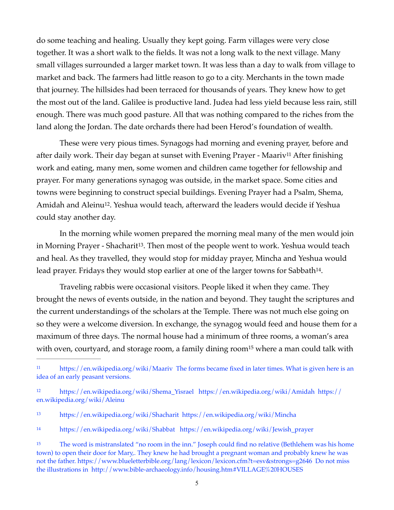do some teaching and healing. Usually they kept going. Farm villages were very close together. It was a short walk to the fields. It was not a long walk to the next village. Many small villages surrounded a larger market town. It was less than a day to walk from village to market and back. The farmers had little reason to go to a city. Merchants in the town made that journey. The hillsides had been terraced for thousands of years. They knew how to get the most out of the land. Galilee is productive land. Judea had less yield because less rain, still enough. There was much good pasture. All that was nothing compared to the riches from the land along the Jordan. The date orchards there had been Herod's foundation of wealth.

<span id="page-4-5"></span>These were very pious times. Synagogs had morning and evening prayer, before and after daily work. Their day began at sunset with Evening Prayer - Maariv<sup>[11](#page-4-0)</sup> After finishing work and eating, many men, some women and children came together for fellowship and prayer. For many generations synagog was outside, in the market space. Some cities and towns were beginning to construct special buildings. Evening Prayer had a Psalm, Shema, Amidah and Aleinu<sup>12</sup>[.](#page-4-1) Yeshua would teach, afterward the leaders would decide if Yeshua could stay another day.

<span id="page-4-7"></span><span id="page-4-6"></span>In the morning while women prepared the morning meal many of the men would join in Morning Prayer - Shacharit<sup>13</sup>[.](#page-4-2) Then most of the people went to work. Yeshua would teach and heal. As they travelled, they would stop for midday prayer, Mincha and Yeshua would lead prayer. Fridays they would stop earlier at one of the larger towns for Sabbath<sup>[14](#page-4-3)</sup>.

<span id="page-4-8"></span>Traveling rabbis were occasional visitors. People liked it when they came. They brought the news of events outside, in the nation and beyond. They taught the scriptures and the current understandings of the scholars at the Temple. There was not much else going on so they were a welcome diversion. In exchange, the synagog would feed and house them for a maximum of three days. The normal house had a minimum of three rooms, a woman's area with oven, courtyard, and storage roo[m](#page-4-4), a family dining room<sup>[15](#page-4-4)</sup> where a man could talk with

<span id="page-4-9"></span><span id="page-4-0"></span><https://en.wikipedia.org/wiki/Maariv>The forms became fixed in later times. What is given here is an [11](#page-4-5) idea of an early peasant versions.

<span id="page-4-1"></span>[<sup>12</sup>](#page-4-6) [https://en.wikipedia.org/wiki/Shema\\_Yisrael](https://en.wikipedia.org/wiki/Shema_Yisrael) <https://en.wikipedia.org/wiki/Amidah> [https://](https://en.wikipedia.org/wiki/Aleinu) [en.wikipedia.org/wiki/Aleinu](https://en.wikipedia.org/wiki/Aleinu) 

<span id="page-4-2"></span><https://en.wikipedia.org/wiki/Shacharit> <https://en.wikipedia.org/wiki/Mincha>[13](#page-4-7)

<span id="page-4-3"></span><https://en.wikipedia.org/wiki/Shabbat> [https://en.wikipedia.org/wiki/Jewish\\_prayer](https://en.wikipedia.org/wiki/Jewish_prayer) [14](#page-4-8)

<span id="page-4-4"></span><sup>&</sup>lt;sup>[15](#page-4-9)</sup> The word is mistranslated "no room in the inn." Joseph could find no relative (Bethlehem was his home town) to open their door for Mary,. They knew he had brought a pregnant woman and probably knew he was not the father. <https://www.blueletterbible.org/lang/lexicon/lexicon.cfm?t=esv&strongs=g2646> Do not miss the illustrations in <http://www.bible-archaeology.info/housing.htm#VILLAGE%20HOUSES>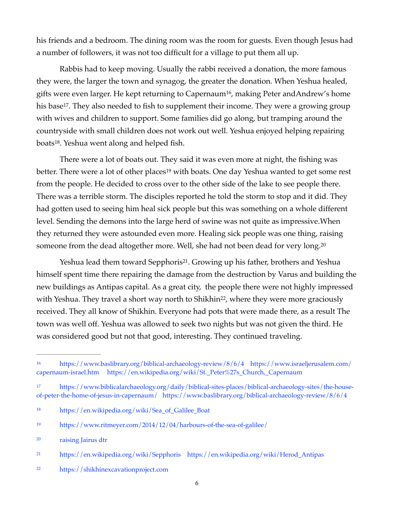his friends and a bedroom. The dining room was the room for guests. Even though Jesus had a number of followers, it was not too difficult for a village to put them all up.

<span id="page-5-8"></span><span id="page-5-7"></span>Rabbis had to keep moving. Usually the rabbi received a donation, the more famous they were, the larger the town and synagog, the greater the donation. When Yeshua healed, gifts were even larger. He kept returning to Capernaum<sup>16</sup>[,](#page-5-0) making Peter andAndrew's home his base<sup>17</sup>[.](#page-5-1) They also needed to fish to supplement their income. They were a growing group with wives and children to support. Some families did go along, but tramping around the countryside with small children does not work out well. Yeshua enjoyed helping repairing boats<sup>18</sup>[.](#page-5-2) Yeshua went along and helped fish.

<span id="page-5-10"></span><span id="page-5-9"></span>There were a lot of boats out. They said it was even more at night, the fishing was better. There were a lot of other place[s](#page-5-3)<sup>[19](#page-5-3)</sup> with boats. One day Yeshua wanted to get some rest from the people. He decided to cross over to the other side of the lake to see people there. There was a terrible storm. The disciples reported he told the storm to stop and it did. They had gotten used to seeing him heal sick people but this was something on a whole different level. Sending the demons into the large herd of swine was not quite as impressive.When they returned they were astounded even more. Healing sick people was one thing, raising someone from the dead altogether more. Well, she had not been dead for very long.[20](#page-5-4)

<span id="page-5-13"></span><span id="page-5-12"></span><span id="page-5-11"></span>Yeshua lead them toward Sepphoris<sup>[21](#page-5-5)</sup>. Growing up his father, brothers and Yeshua himself spent time there repairing the damage from the destruction by Varus and building the new buildings as Antipas capital. As a great city, the people there were not highly impressed with Yeshua. They travel a short way north to Shikhin<sup>22</sup>[,](#page-5-6) where they were more graciously received. They all know of Shikhin. Everyone had pots that were made there, as a result The town was well off. Yeshua was allowed to seek two nights but was not given the third. He was considered good but not that good, interesting. They continued traveling.

<span id="page-5-0"></span>[<sup>16</sup>](#page-5-7) <https://www.baslibrary.org/biblical-archaeology-review/8/6/4> [https://www.israeljerusalem.com/](https://www.israeljerusalem.com/capernaum-israel.htm) [capernaum-israel.htm](https://www.israeljerusalem.com/capernaum-israel.htm) [https://en.wikipedia.org/wiki/St.\\_Peter%27s\\_Church,\\_Capernaum](https://en.wikipedia.org/wiki/St._Peter%27s_Church,_Capernaum)

<span id="page-5-1"></span>[https://www.biblicalarchaeology.org/daily/biblical-sites-places/biblical-archaeology-sites/the-house-](https://www.biblicalarchaeology.org/daily/biblical-sites-places/biblical-archaeology-sites/the-house-of-peter-the-home-of-jesus-in-capernaum/) [17](#page-5-8) [of-peter-the-home-of-jesus-in-capernaum/](https://www.biblicalarchaeology.org/daily/biblical-sites-places/biblical-archaeology-sites/the-house-of-peter-the-home-of-jesus-in-capernaum/) <https://www.baslibrary.org/biblical-archaeology-review/8/6/4>

<span id="page-5-2"></span><sup>18</sup> [https://en.wikipedia.org/wiki/Sea\\_of\\_Galilee\\_Boat](https://en.wikipedia.org/wiki/Sea_of_Galilee_Boat)

<span id="page-5-3"></span><https://www.ritmeyer.com/2014/12/04/harbours-of-the-sea-of-galilee/> [19](#page-5-10)

<span id="page-5-4"></span>raising Jairus dtr [20](#page-5-11)

<span id="page-5-5"></span><https://en.wikipedia.org/wiki/Sepphoris> [https://en.wikipedia.org/wiki/Herod\\_Antipas](https://en.wikipedia.org/wiki/Herod_Antipas) [21](#page-5-12)

<span id="page-5-6"></span><https://shikhinexcavationproject.com>[22](#page-5-13)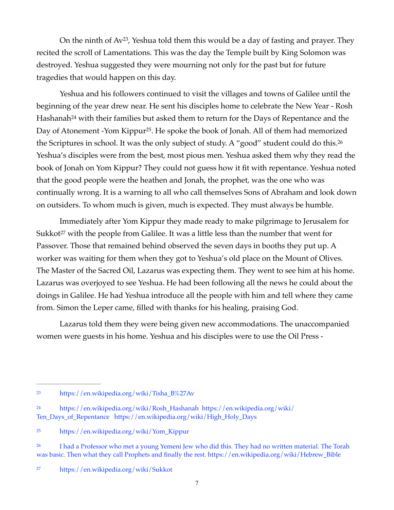<span id="page-6-5"></span>On the ninth of  $Av^{23}$  $Av^{23}$  $Av^{23}$ , Yeshua told them this would be a day of fasting and prayer. They recited the scroll of Lamentations. This was the day the Temple built by King Solomon was destroyed. Yeshua suggested they were mourning not only for the past but for future tragedies that would happen on this day.

<span id="page-6-8"></span><span id="page-6-7"></span><span id="page-6-6"></span>Yeshua and his followers continued to visit the villages and towns of Galilee until the beginning of the year drew near. He sent his disciples home to celebrate the New Year - Rosh Hashanah<sup>24</sup>with their families but asked them to return for the Days of Repentance and the Day of Atonement -Yom Kippur<sup>[25](#page-6-2)</sup>. He spoke the book of Jonah. All of them had memorized the Scriptures in school. It was the only subject of study. A "good" student could do this.[26](#page-6-3) Yeshua's disciples were from the best, most pious men. Yeshua asked them why they read the book of Jonah on Yom Kippur? They could not guess how it fit with repentance. Yeshua noted that the good people were the heathen and Jonah, the prophet, was the one who was continually wrong. It is a warning to all who call themselves Sons of Abraham and look down on outsiders. To whom much is given, much is expected. They must always be humble.

<span id="page-6-9"></span>Immediately after Yom Kippur they made ready to make pilgrimage to Jerusalem for Sukko[t](#page-6-4)<sup>[27](#page-6-4)</sup> with the people from Galilee. It was a little less than the number that went for Passover. Those that remained behind observed the seven days in booths they put up. A worker was waiting for them when they got to Yeshua's old place on the Mount of Olives. The Master of the Sacred Oil, Lazarus was expecting them. They went to see him at his home. Lazarus was overjoyed to see Yeshua. He had been following all the news he could about the doings in Galilee. He had Yeshua introduce all the people with him and tell where they came from. Simon the Leper came, filled with thanks for his healing, praising God.

Lazarus told them they were being given new accommodations. The unaccompanied women were guests in his home. Yeshua and his disciples were to use the Oil Press -

<span id="page-6-0"></span>[https://en.wikipedia.org/wiki/Tisha\\_B%27Av](https://en.wikipedia.org/wiki/Tisha_B%27Av) [23](#page-6-5)

<span id="page-6-1"></span>[<sup>24</sup>](#page-6-6) [https://en.wikipedia.org/wiki/Rosh\\_Hashanah](https://en.wikipedia.org/wiki/Rosh_Hashanah) [https://en.wikipedia.org/wiki/](https://en.wikipedia.org/wiki/Ten_Days_of_Repentance) [Ten\\_Days\\_of\\_Repentance](https://en.wikipedia.org/wiki/Ten_Days_of_Repentance) [https://en.wikipedia.org/wiki/High\\_Holy\\_Days](https://en.wikipedia.org/wiki/High_Holy_Days)

<span id="page-6-2"></span>[https://en.wikipedia.org/wiki/Yom\\_Kippur](https://en.wikipedia.org/wiki/Yom_Kippur) [25](#page-6-7)

<span id="page-6-3"></span><sup>&</sup>lt;sup>[26](#page-6-8)</sup> I had a Professor who met a young Yemeni Jew who did this. They had no written material. The Torah was basic. Then what they call Prophets and finally the rest. [https://en.wikipedia.org/wiki/Hebrew\\_Bible](https://en.wikipedia.org/wiki/Hebrew_Bible) 

<span id="page-6-4"></span><https://en.wikipedia.org/wiki/Sukkot>[27](#page-6-9)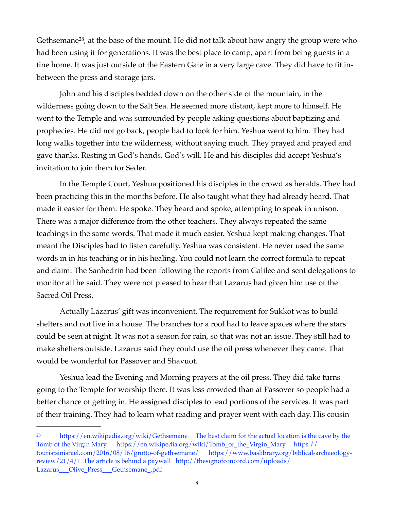<span id="page-7-1"></span>Gethsemane<sup>28</sup>[,](#page-7-0) at the base of the mount. He did not talk about how angry the group were who had been using it for generations. It was the best place to camp, apart from being guests in a fine home. It was just outside of the Eastern Gate in a very large cave. They did have to fit inbetween the press and storage jars.

John and his disciples bedded down on the other side of the mountain, in the wilderness going down to the Salt Sea. He seemed more distant, kept more to himself. He went to the Temple and was surrounded by people asking questions about baptizing and prophecies. He did not go back, people had to look for him. Yeshua went to him. They had long walks together into the wilderness, without saying much. They prayed and prayed and gave thanks. Resting in God's hands, God's will. He and his disciples did accept Yeshua's invitation to join them for Seder.

In the Temple Court, Yeshua positioned his disciples in the crowd as heralds. They had been practicing this in the months before. He also taught what they had already heard. That made it easier for them. He spoke. They heard and spoke, attempting to speak in unison. There was a major difference from the other teachers. They always repeated the same teachings in the same words. That made it much easier. Yeshua kept making changes. That meant the Disciples had to listen carefully. Yeshua was consistent. He never used the same words in in his teaching or in his healing. You could not learn the correct formula to repeat and claim. The Sanhedrin had been following the reports from Galilee and sent delegations to monitor all he said. They were not pleased to hear that Lazarus had given him use of the Sacred Oil Press.

Actually Lazarus' gift was inconvenient. The requirement for Sukkot was to build shelters and not live in a house. The branches for a roof had to leave spaces where the stars could be seen at night. It was not a season for rain, so that was not an issue. They still had to make shelters outside. Lazarus said they could use the oil press whenever they came. That would be wonderful for Passover and Shavuot.

Yeshua lead the Evening and Morning prayers at the oil press. They did take turns going to the Temple for worship there. It was less crowded than at Passover so people had a better chance of getting in. He assigned disciples to lead portions of the services. It was part of their training. They had to learn what reading and prayer went with each day. His cousin

<span id="page-7-0"></span> $\frac{28}{100}$  $\frac{28}{100}$  $\frac{28}{100}$  <https://en.wikipedia.org/wiki/Gethsemane>The best claim for the actual location is the cave by the Tomb of the Virgin Mary [https://en.wikipedia.org/wiki/Tomb\\_of\\_the\\_Virgin\\_Mary](https://en.wikipedia.org/wiki/Tomb_of_the_Virgin_Mary) [https://](https://touristsinisrael.com/2016/08/16/grotto-of-gethsemane/) [touristsinisrael.com/2016/08/16/grotto-of-gethsemane/](https://touristsinisrael.com/2016/08/16/grotto-of-gethsemane/) [https://www.baslibrary.org/biblical-archaeology](https://www.baslibrary.org/biblical-archaeology-review/21/4/1)[review/21/4/1](https://www.baslibrary.org/biblical-archaeology-review/21/4/1) The article is behind a paywall [http://thesignofconcord.com/uploads/](http://thesignofconcord.com/uploads/Lazarus___Olive_Press___Gethsemane_.pdf) [Lazarus\\_\\_\\_Olive\\_Press\\_\\_\\_Gethsemane\\_.pdf](http://thesignofconcord.com/uploads/Lazarus___Olive_Press___Gethsemane_.pdf)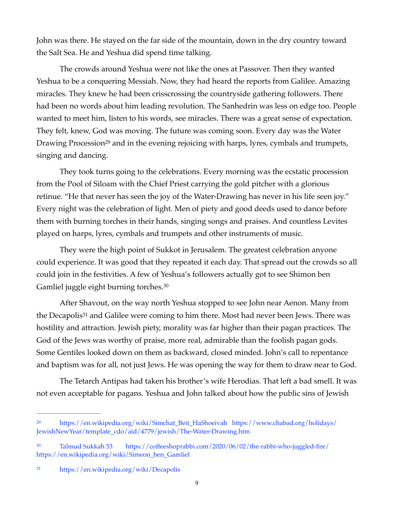John was there. He stayed on the far side of the mountain, down in the dry country toward the Salt Sea. He and Yeshua did spend time talking.

The crowds around Yeshua were not like the ones at Passover. Then they wanted Yeshua to be a conquering Messiah. Now, they had heard the reports from Galilee. Amazing miracles. They knew he had been crisscrossing the countryside gathering followers. There had been no words about him leading revolution. The Sanhedrin was less on edge too. People wanted to meet him, listen to his words, see miracles. There was a great sense of expectation. They felt, knew, God was moving. The future was coming soon. Every day was the Water DrawingProcession<sup>[29](#page-8-0)</sup> and in the evening rejoicing with harps, lyres, cymbals and trumpets, singing and dancing.

<span id="page-8-3"></span>They took turns going to the celebrations. Every morning was the ecstatic procession from the Pool of Siloam with the Chief Priest carrying the gold pitcher with a glorious retinue. "He that never has seen the joy of the Water-Drawing has never in his life seen joy." Every night was the celebration of light. Men of piety and good deeds used to dance before them with burning torches in their hands, singing songs and praises. And countless Levites played on harps, lyres, cymbals and trumpets and other instruments of music.

They were the high point of Sukkot in Jerusalem. The greatest celebration anyone could experience. It was good that they repeated it each day. That spread out the crowds so all could join in the festivities. A few of Yeshua's followers actually got to see Shimon ben Gamliel juggle eight burning torches[.](#page-8-1)<sup>[30](#page-8-1)</sup>

<span id="page-8-5"></span><span id="page-8-4"></span>After Shavout, on the way north Yeshua stopped to see John near Aenon. Many from theDecapolis<sup>[31](#page-8-2)</sup> and Galilee were coming to him there. Most had never been Jews. There was hostility and attraction. Jewish piety, morality was far higher than their pagan practices. The God of the Jews was worthy of praise, more real, admirable than the foolish pagan gods. Some Gentiles looked down on them as backward, closed minded. John's call to repentance and baptism was for all, not just Jews. He was opening the way for them to draw near to God.

The Tetarch Antipas had taken his brother's wife Herodias. That left a bad smell. It was not even acceptable for pagans. Yeshua and John talked about how the public sins of Jewish

<span id="page-8-0"></span>[<sup>29</sup>](#page-8-3) [https://en.wikipedia.org/wiki/Simchat\\_Beit\\_HaShoeivah](https://en.wikipedia.org/wiki/Simchat_Beit_HaShoeivah) [https://www.chabad.org/holidays/](https://www.chabad.org/holidays/JewishNewYear/template_cdo/aid/4779/jewish/The-Water-Drawing.htm) [JewishNewYear/template\\_cdo/aid/4779/jewish/The-Water-Drawing.htm](https://www.chabad.org/holidays/JewishNewYear/template_cdo/aid/4779/jewish/The-Water-Drawing.htm) 

<span id="page-8-1"></span>Talmud Sukkah 53 <https://coffeeshoprabbi.com/2020/06/02/the-rabbi-who-juggled-fire/> [30](#page-8-4) [https://en.wikipedia.org/wiki/Simeon\\_ben\\_Gamliel](https://en.wikipedia.org/wiki/Simeon_ben_Gamliel)

<span id="page-8-2"></span><https://en.wikipedia.org/wiki/Decapolis> [31](#page-8-5)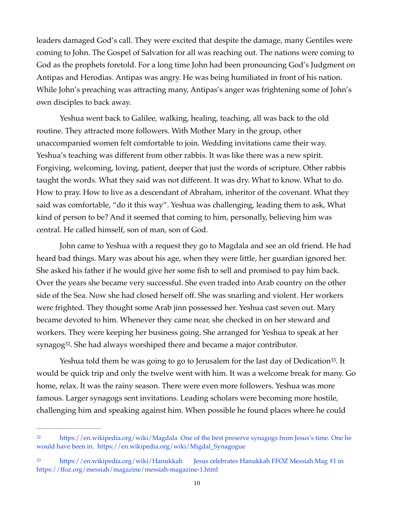leaders damaged God's call. They were excited that despite the damage, many Gentiles were coming to John. The Gospel of Salvation for all was reaching out. The nations were coming to God as the prophets foretold. For a long time John had been pronouncing God's Judgment on Antipas and Herodias. Antipas was angry. He was being humiliated in front of his nation. While John's preaching was attracting many, Antipas's anger was frightening some of John's own disciples to back away.

Yeshua went back to Galilee, walking, healing, teaching, all was back to the old routine. They attracted more followers. With Mother Mary in the group, other unaccompanied women felt comfortable to join. Wedding invitations came their way. Yeshua's teaching was different from other rabbis. It was like there was a new spirit. Forgiving, welcoming, loving, patient, deeper that just the words of scripture. Other rabbis taught the words. What they said was not different. It was dry. What to know. What to do. How to pray. How to live as a descendant of Abraham, inheritor of the covenant. What they said was comfortable, "do it this way". Yeshua was challenging, leading them to ask, What kind of person to be? And it seemed that coming to him, personally, believing him was central. He called himself, son of man, son of God.

John came to Yeshua with a request they go to Magdala and see an old friend. He had heard bad things. Mary was about his age, when they were little, her guardian ignored her. She asked his father if he would give her some fish to sell and promised to pay him back. Over the years she became very successful. She even traded into Arab country on the other side of the Sea. Now she had closed herself off. She was snarling and violent. Her workers were frighted. They thought some Arab jinn possessed her. Yeshua cast seven out. Mary became devoted to him. Whenever they came near, she checked in on her steward and workers. They were keeping her business going. She arranged for Yeshua to speak at her synagog<sup>[32](#page-9-0)</sup>. She had always worshiped there and became a major contributor.

<span id="page-9-3"></span><span id="page-9-2"></span>Yeshua told them he was going to go to Jerusalem for the last day of Dedication<sup>[33](#page-9-1)</sup>. It would be quick trip and only the twelve went with him. It was a welcome break for many. Go home, relax. It was the rainy season. There were even more followers. Yeshua was more famous. Larger synagogs sent invitations. Leading scholars were becoming more hostile, challenging him and speaking against him. When possible he found places where he could

<span id="page-9-0"></span><https://en.wikipedia.org/wiki/Magdala>One of the best preserve synagogs from Jesus's time. One he [32](#page-9-2) would have been in. [https://en.wikipedia.org/wiki/Migdal\\_Synagogue](https://en.wikipedia.org/wiki/Migdal_Synagogue)

<span id="page-9-1"></span><https://en.wikipedia.org/wiki/Hanukkah>Jesus celebrates Hanukkah FFOZ Messiah Mag #1 in [33](#page-9-3) <https://ffoz.org/messiah/magazine/messiah-magazine-1.html>